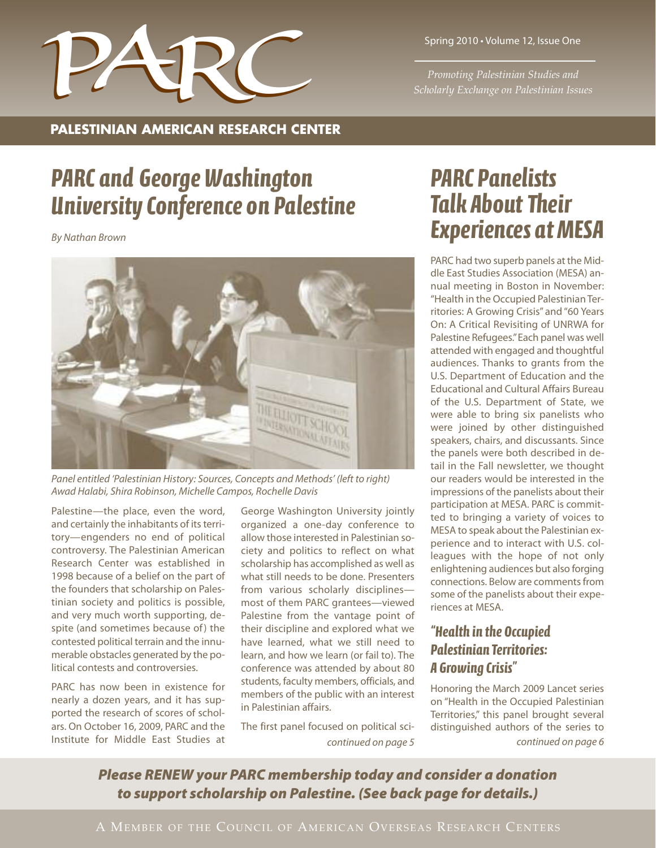

*Promoting Palestinian Studies and*

### **PALESTINIAN AMERICAN RESEARCH CENTER**

# *PARC and George Washington University Conference on Palestine*

*By Nathan Brown*



*Panel entitled 'Palestinian History: Sources, Concepts and Methods' (left to right) Awad Halabi, Shira Robinson, Michelle Campos, Rochelle Davis*

Palestine—the place, even the word, and certainly the inhabitants of its territory—engenders no end of political controversy. The Palestinian American Research Center was established in 1998 because of a belief on the part of the founders that scholarship on Palestinian society and politics is possible, and very much worth supporting, despite (and sometimes because of) the contested political terrain and the innumerable obstacles generated by the political contests and controversies.

PARC has now been in existence for nearly a dozen years, and it has supported the research of scores of scholars. On October 16, 2009, PARC and the Institute for Middle East Studies at

George Washington University jointly organized a one-day conference to allow those interested in Palestinian society and politics to reflect on what scholarship has accomplished as well as what still needs to be done. Presenters from various scholarly disciplines most of them PARC grantees—viewed Palestine from the vantage point of their discipline and explored what we have learned, what we still need to learn, and how we learn (or fail to). The conference was attended by about 80 students, faculty members, officials, and members of the public with an interest in Palestinian affairs.

The first panel focused on political sci-

# *PARC Panelists Talk About Their Experiences atMESA*

PARC had two superb panels at the Middle East Studies Association (MESA) annual meeting in Boston in November: "Health in the Occupied Palestinian Territories: A Growing Crisis" and "60 Years On: A Critical Revisiting of UNRWA for Palestine Refugees."Each panel was well attended with engaged and thoughtful audiences. Thanks to grants from the U.S. Department of Education and the Educational and Cultural Affairs Bureau of the U.S. Department of State, we were able to bring six panelists who were joined by other distinguished speakers, chairs, and discussants. Since the panels were both described in detail in the Fall newsletter, we thought our readers would be interested in the impressions of the panelists about their participation at MESA. PARC is committed to bringing a variety of voices to MESA to speak about the Palestinian experience and to interact with U.S. colleagues with the hope of not only enlightening audiences but also forging connections. Below are comments from some of the panelists about their experiences at MESA.

## *"Health in the Occupied Palestinian Territories: A Growing Crisis"*

Honoring the March 2009 Lancet series on "Health in the Occupied Palestinian Territories," this panel brought several distinguished authors of the series to *continued on page 5 continued on page 6*

*Please RENEW your PARC membership today and consider a donation to support scholarship on Palestine. (See back page for details.)*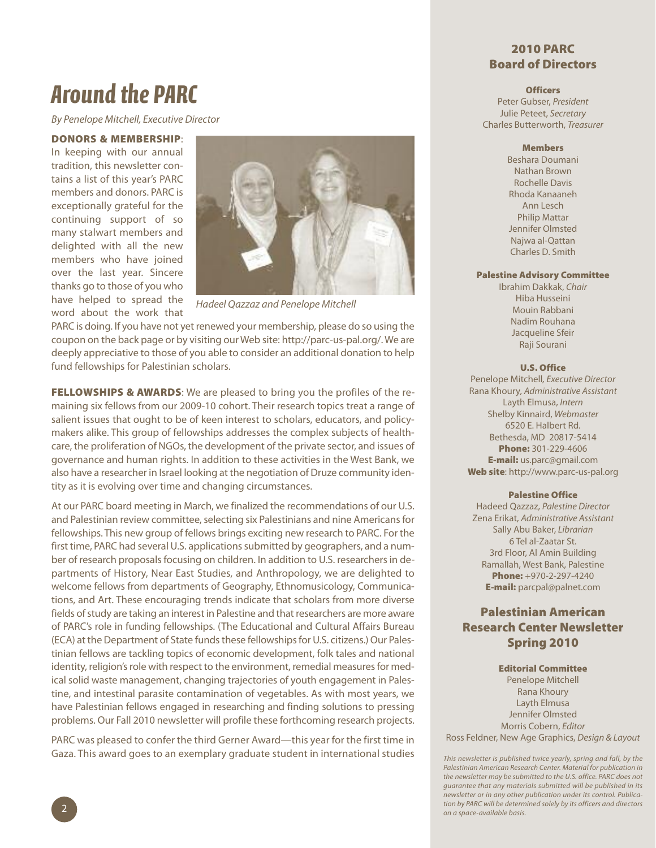# *Around the PARC*

*By Penelope Mitchell, Executive Director*

#### **DONORS & MEMBERSHIP**:

In keeping with our annual tradition, this newsletter contains a list of this year's PARC members and donors. PARC is exceptionally grateful for the continuing support of so many stalwart members and delighted with all the new members who have joined over the last year. Sincere thanks go to those of you who have helped to spread the word about the work that



*Hadeel Qazzaz and Penelope Mitchell*

PARC is doing. If you have not yet renewed your membership, please do so using the coupon on the back page or by visiting our Web site: http://parc-us-pal.org/. We are deeply appreciative to those of you able to consider an additional donation to help fund fellowships for Palestinian scholars.

**FELLOWSHIPS & AWARDS**: We are pleased to bring you the profiles of the remaining six fellows from our 2009-10 cohort. Their research topics treat a range of salient issues that ought to be of keen interest to scholars, educators, and policymakers alike. This group of fellowships addresses the complex subjects of healthcare, the proliferation of NGOs, the development of the private sector, and issues of governance and human rights. In addition to these activities in the West Bank, we also have a researcher in Israel looking at the negotiation of Druze community identity as it is evolving over time and changing circumstances.

At our PARC board meeting in March, we finalized the recommendations of our U.S. and Palestinian review committee, selecting six Palestinians and nine Americans for fellowships. This new group of fellows brings exciting new research to PARC. For the first time, PARC had several U.S. applications submitted by geographers, and a number of research proposals focusing on children. In addition to U.S. researchers in departments of History, Near East Studies, and Anthropology, we are delighted to welcome fellows from departments of Geography, Ethnomusicology, Communications, and Art. These encouraging trends indicate that scholars from more diverse fields of study are taking an interest in Palestine and that researchers are more aware of PARC's role in funding fellowships. (The Educational and Cultural Affairs Bureau (ECA) at the Department of State funds these fellowships for U.S. citizens.) Our Palestinian fellows are tackling topics of economic development, folk tales and national identity, religion's role with respect to the environment, remedial measures for medical solid waste management, changing trajectories of youth engagement in Palestine, and intestinal parasite contamination of vegetables. As with most years, we have Palestinian fellows engaged in researching and finding solutions to pressing problems. Our Fall 2010 newsletter will profile these forthcoming research projects.

PARC was pleased to confer the third Gerner Award—this year for the first time in Gaza. This award goes to an exemplary graduate student in international studies

### **2010 PARC Board of Directors**

#### **Officers**

Peter Gubser, *President* Julie Peteet, *Secretary* Charles Butterworth, *Treasurer*

#### **Members**

Beshara Doumani Nathan Brown Rochelle Davis Rhoda Kanaaneh Ann Lesch Philip Mattar Jennifer Olmsted Najwa al-Qattan Charles D. Smith

#### **Palestine Advisory Committee**

Ibrahim Dakkak, *Chair* Hiba Husseini Mouin Rabbani Nadim Rouhana Jacqueline Sfeir Raji Sourani

#### **U.S. Office**

Penelope Mitchell*, Executive Director* Rana Khoury*, Administrative Assistant* Layth Elmusa, *Intern* Shelby Kinnaird, *Webmaster* 6520 E. Halbert Rd. Bethesda, MD 20817-5414 **Phone:** 301-229-4606 **E-mail:** us.parc@gmail.com **Web site**: http://www.parc-us-pal.org

#### **Palestine Office**

Hadeed Qazzaz, *Palestine Director* Zena Erikat, *Administrative Assistant* Sally Abu Baker, *Librarian* 6 Tel al-Zaatar St. 3rd Floor, Al Amin Building Ramallah, West Bank, Palestine **Phone:** +970-2-297-4240 **E-mail:** parcpal@palnet.com

### **Palestinian American Research Center Newsletter Spring 2010**

#### **Editorial Committee**

Penelope Mitchell Rana Khoury Layth Elmusa Jennifer Olmsted Morris Cobern, *Editor*

Ross Feldner, New Age Graphics, *Design & Layout*

*This newsletter is published twice yearly, spring and fall, by the Palestinian American Research Center. Material for publication in the newsletter may be submitted to the U.S. office. PARC does not guarantee that any materials submitted will be published in its newsletter or in any other publication under its control. Publication by PARC will be determined solely by its officers and directors on a space-available basis.*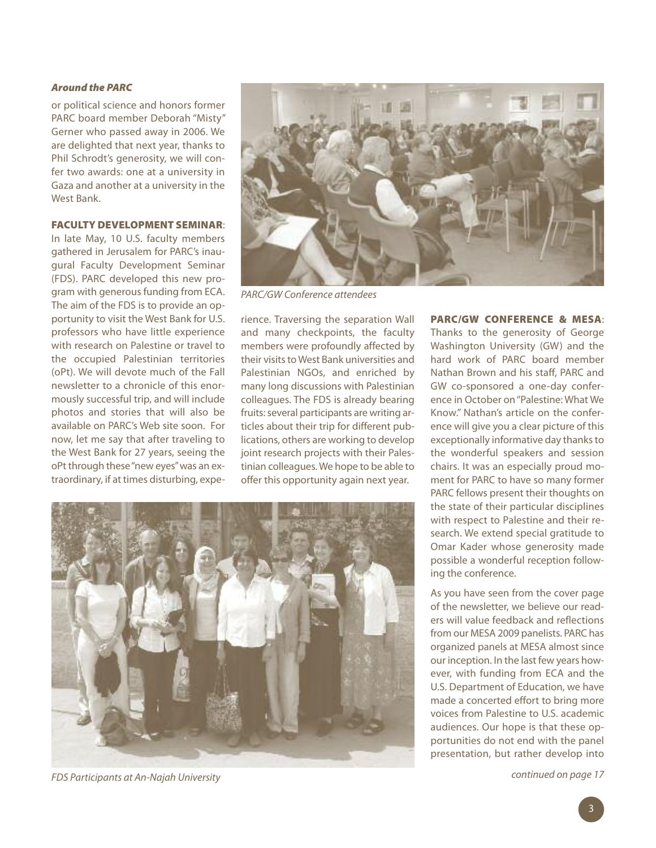#### *Around the PARC*

or political science and honors former PARC board member Deborah "Misty" Gerner who passed away in 2006. We are delighted that next year, thanks to Phil Schrodt's generosity, we will confer two awards: one at a university in Gaza and another at a university in the West Bank.

#### **FACULTY DEVELOPMENT SEMINAR**:

In late May, 10 U.S. faculty members gathered in Jerusalem for PARC's inaugural Faculty Development Seminar (FDS). PARC developed this new program with generous funding from ECA. The aim of the FDS is to provide an opportunity to visit the West Bank for U.S. professors who have little experience with research on Palestine or travel to the occupied Palestinian territories (oPt). We will devote much of the Fall newsletter to a chronicle of this enormously successful trip, and will include photos and stories that will also be available on PARC's Web site soon. For now, let me say that after traveling to the West Bank for 27 years, seeing the oPt through these"new eyes"was an extraordinary, if at times disturbing, expe-



*PARC/GW Conference attendees*

rience. Traversing the separation Wall and many checkpoints, the faculty members were profoundly affected by their visits to West Bank universities and Palestinian NGOs, and enriched by many long discussions with Palestinian colleagues. The FDS is already bearing fruits: several participants are writing articles about their trip for different publications, others are working to develop joint research projects with their Palestinian colleagues.We hope to be able to offer this opportunity again next year.



*FDS Participants at An-Najah University*

**PARC/GW CONFERENCE & MESA**: Thanks to the generosity of George Washington University (GW) and the hard work of PARC board member Nathan Brown and his staff, PARC and GW co-sponsored a one-day conference in October on"Palestine: What We Know." Nathan's article on the conference will give you a clear picture of this exceptionally informative day thanks to the wonderful speakers and session chairs. It was an especially proud moment for PARC to have so many former PARC fellows present their thoughts on the state of their particular disciplines with respect to Palestine and their research. We extend special gratitude to Omar Kader whose generosity made possible a wonderful reception following the conference.

As you have seen from the cover page of the newsletter, we believe our readers will value feedback and reflections from our MESA 2009 panelists. PARC has organized panels at MESA almost since our inception. In the last few years however, with funding from ECA and the U.S. Department of Education, we have made a concerted effort to bring more voices from Palestine to U.S. academic audiences. Our hope is that these opportunities do not end with the panel presentation, but rather develop into

*continued on page 17*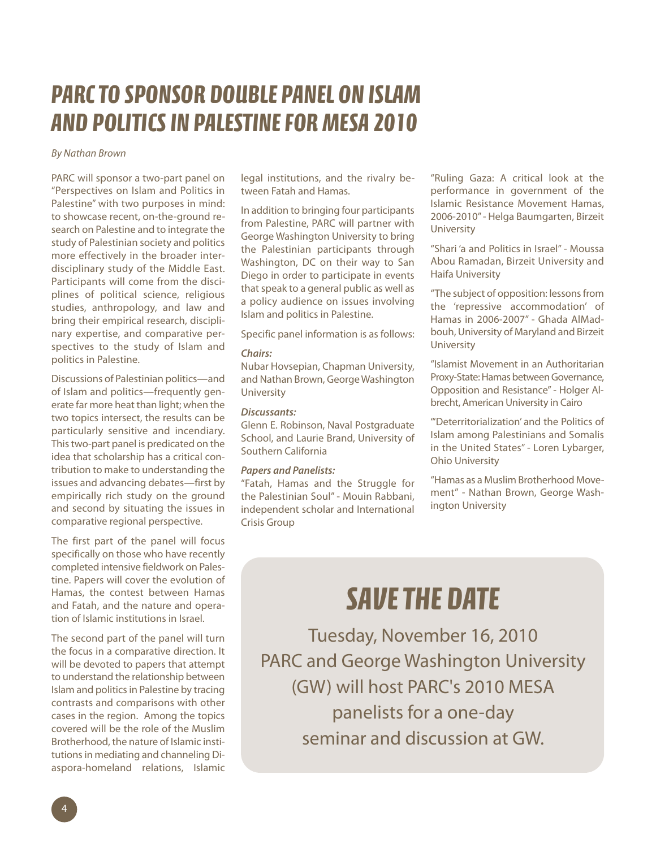# *PARCTO SPONSOR DOUBLE PANEL ON ISLAM AND POLITICSIN PALESTINEFORMESA 2010*

#### *By Nathan Brown*

PARC will sponsor a two-part panel on "Perspectives on Islam and Politics in Palestine" with two purposes in mind: to showcase recent, on-the-ground research on Palestine and to integrate the study of Palestinian society and politics more effectively in the broader interdisciplinary study of the Middle East. Participants will come from the disciplines of political science, religious studies, anthropology, and law and bring their empirical research, disciplinary expertise, and comparative perspectives to the study of Islam and politics in Palestine.

Discussions of Palestinian politics—and of Islam and politics—frequently generate far more heat than light; when the two topics intersect, the results can be particularly sensitive and incendiary. Thistwo-part panel is predicated on the idea that scholarship has a critical contribution to make to understanding the issues and advancing debates—first by empirically rich study on the ground and second by situating the issues in comparative regional perspective.

The first part of the panel will focus specifically on those who have recently completed intensive fieldwork on Palestine. Papers will cover the evolution of Hamas, the contest between Hamas and Fatah, and the nature and operation of Islamic institutions in Israel.

The second part of the panel will turn the focus in a comparative direction. It will be devoted to papers that attempt to understand the relationship between Islam and politics in Palestine by tracing contrasts and comparisons with other cases in the region. Among the topics covered will be the role of the Muslim Brotherhood, the nature of Islamic institutions in mediating and channeling Diaspora-homeland relations, Islamic

legal institutions, and the rivalry between Fatah and Hamas.

In addition to bringing four participants from Palestine, PARC will partner with George Washington University to bring the Palestinian participants through Washington, DC on their way to San Diego in order to participate in events that speak to a general public as well as a policy audience on issues involving Islam and politics in Palestine.

Specific panel information is as follows:

#### *Chairs:*

Nubar Hovsepian, Chapman University, and Nathan Brown, GeorgeWashington University

#### *Discussants:*

Glenn E. Robinson, Naval Postgraduate School, and Laurie Brand, University of Southern California

#### *Papers and Panelists:*

"Fatah, Hamas and the Struggle for the Palestinian Soul" - Mouin Rabbani, independent scholar and International Crisis Group

"Ruling Gaza: A critical look at the performance in government of the Islamic Resistance Movement Hamas, 2006-2010"- Helga Baumgarten, Birzeit University

"Shari 'a and Politics in Israel" - Moussa Abou Ramadan, Birzeit University and Haifa University

"The subject of opposition: lessons from the 'repressive accommodation' of Hamas in 2006-2007" - Ghada AlMadbouh, University of Maryland and Birzeit University

"Islamist Movement in an Authoritarian Proxy-State: Hamas between Governance, Opposition and Resistance"- Holger Albrecht, American University in Cairo

"'Deterritorialization' and the Politics of Islam among Palestinians and Somalis in the United States" - Loren Lybarger, Ohio University

"Hamas as a Muslim Brotherhood Movement" - Nathan Brown, George Washington University

# *SAVETHE DATE*

Tuesday, November 16, 2010 PARC and George Washington University (GW) will host PARC's 2010 MESA panelists for a one-day seminar and discussion at GW.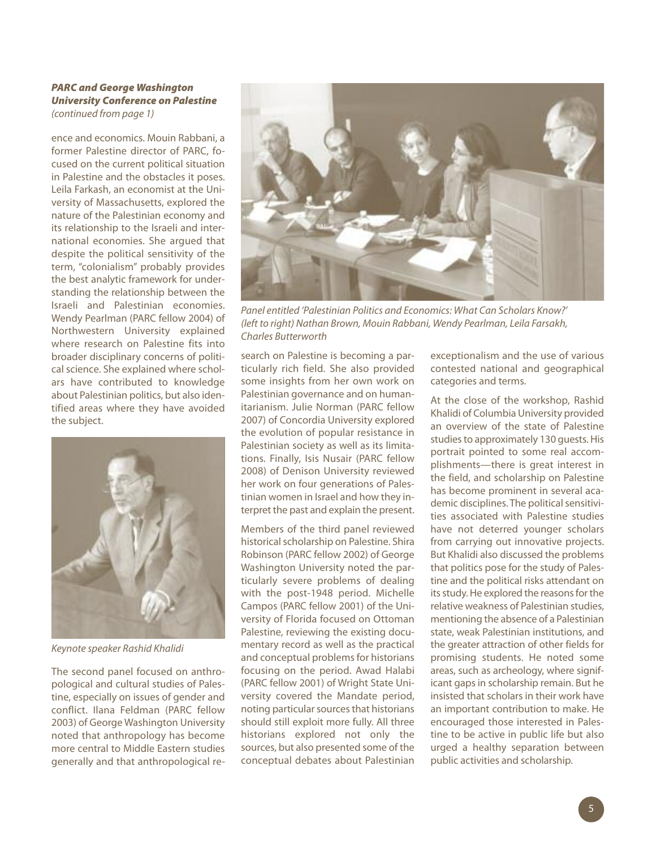#### *PARC and George Washington University Conference on Palestine (continued from page 1)*

ence and economics. Mouin Rabbani, a former Palestine director of PARC, focused on the current political situation in Palestine and the obstacles it poses. Leila Farkash, an economist at the University of Massachusetts, explored the nature of the Palestinian economy and its relationship to the Israeli and international economies. She argued that despite the political sensitivity of the term, "colonialism" probably provides the best analytic framework for understanding the relationship between the Israeli and Palestinian economies. Wendy Pearlman (PARC fellow 2004) of Northwestern University explained where research on Palestine fits into broader disciplinary concerns of political science. She explained where scholars have contributed to knowledge about Palestinian politics, but also identified areas where they have avoided the subject.



*Keynote speaker Rashid Khalidi*

The second panel focused on anthropological and cultural studies of Palestine, especially on issues of gender and conflict. Ilana Feldman (PARC fellow 2003) of George Washington University noted that anthropology has become more central to Middle Eastern studies generally and that anthropological re-



*Panel entitled 'Palestinian Politics and Economics: What Can Scholars Know?' (left to right) Nathan Brown, Mouin Rabbani, Wendy Pearlman, Leila Farsakh, Charles Butterworth*

search on Palestine is becoming a particularly rich field. She also provided some insights from her own work on Palestinian governance and on humanitarianism. Julie Norman (PARC fellow 2007) of Concordia University explored the evolution of popular resistance in Palestinian society as well as its limitations. Finally, Isis Nusair (PARC fellow 2008) of Denison University reviewed her work on four generations of Palestinian women in Israel and how they interpret the past and explain the present.

Members of the third panel reviewed historical scholarship on Palestine. Shira Robinson (PARC fellow 2002) of George Washington University noted the particularly severe problems of dealing with the post-1948 period. Michelle Campos (PARC fellow 2001) of the University of Florida focused on Ottoman Palestine, reviewing the existing documentary record as well as the practical and conceptual problems for historians focusing on the period. Awad Halabi (PARC fellow 2001) of Wright State University covered the Mandate period, noting particular sources that historians should still exploit more fully. All three historians explored not only the sources, but also presented some of the conceptual debates about Palestinian

exceptionalism and the use of various contested national and geographical categories and terms.

At the close of the workshop, Rashid Khalidi of Columbia University provided an overview of the state of Palestine studies to approximately 130 quests. His portrait pointed to some real accomplishments—there is great interest in the field, and scholarship on Palestine has become prominent in several academic disciplines. The political sensitivities associated with Palestine studies have not deterred younger scholars from carrying out innovative projects. But Khalidi also discussed the problems that politics pose for the study of Palestine and the political risks attendant on its study. He explored the reasons for the relative weakness of Palestinian studies, mentioning the absence of a Palestinian state, weak Palestinian institutions, and the greater attraction of other fields for promising students. He noted some areas, such as archeology, where significant gaps in scholarship remain. But he insisted that scholars in their work have an important contribution to make. He encouraged those interested in Palestine to be active in public life but also urged a healthy separation between public activities and scholarship.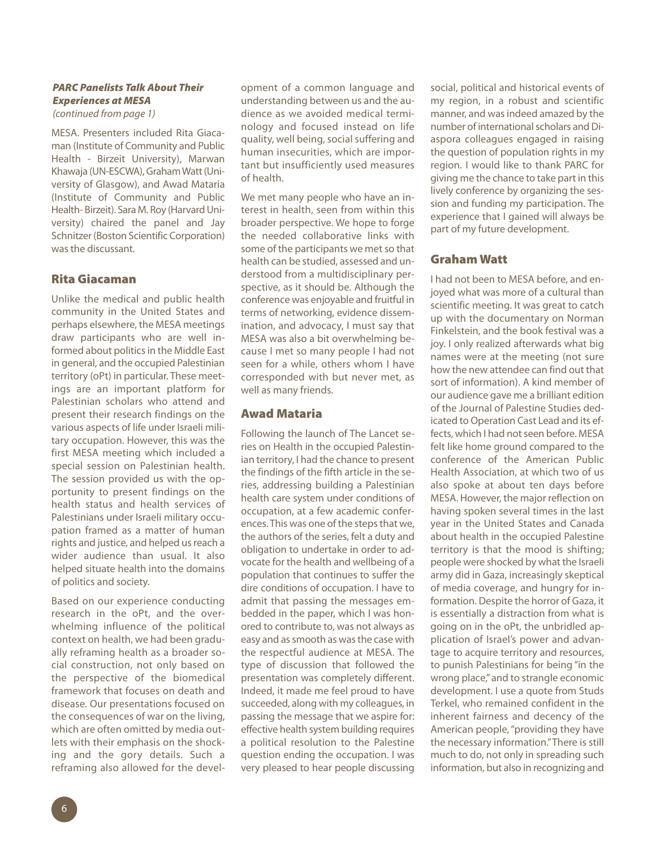#### *PARC Panelists Talk About Their Experiences at MESA (continued from page 1)*

MESA. Presenters included Rita Giacaman (Institute of Community and Public Health - Birzeit University), Marwan Khawaja (UN-ESCWA), Graham Watt (University of Glasgow), and Awad Mataria (Institute of Community and Public Health- Birzeit). Sara M. Roy (Harvard University) chaired the panel and Jay Schnitzer(Boston Scientific Corporation) was the discussant.

### **Rita Giacaman**

Unlike the medical and public health community in the United States and perhaps elsewhere, the MESA meetings draw participants who are well informed about politics in the Middle East in general, and the occupied Palestinian territory (oPt) in particular. These meetings are an important platform for Palestinian scholars who attend and present their research findings on the various aspects of life under Israeli military occupation. However, this was the first MESA meeting which included a special session on Palestinian health. The session provided us with the opportunity to present findings on the health status and health services of Palestinians under Israeli military occupation framed as a matter of human rights and justice, and helped us reach a wider audience than usual. It also helped situate health into the domains of politics and society.

Based on our experience conducting research in the oPt, and the overwhelming influence of the political context on health, we had been gradually reframing health as a broader social construction, not only based on the perspective of the biomedical framework that focuses on death and disease. Our presentations focused on the consequences of war on the living, which are often omitted by media outlets with their emphasis on the shocking and the gory details. Such a reframing also allowed for the devel-

opment of a common language and understanding between us and the audience as we avoided medical terminology and focused instead on life quality, well being, social suffering and human insecurities, which are important but insufficiently used measures of health.

We met many people who have an interest in health, seen from within this broader perspective. We hope to forge the needed collaborative links with some of the participants we met so that health can be studied, assessed and understood from a multidisciplinary perspective, as it should be. Although the conference was enjoyable and fruitful in terms of networking, evidence dissemination, and advocacy, I must say that MESA was also a bit overwhelming because I met so many people I had not seen for a while, others whom I have corresponded with but never met, as well as many friends.

#### **Awad Mataria**

Following the launch of The Lancet series on Health in the occupied Palestinian territory, I had the chance to present the findings of the fifth article in the series, addressing building a Palestinian health care system under conditions of occupation, at a few academic conferences. This was one of the steps that we, the authors of the series, felt a duty and obligation to undertake in order to advocate for the health and wellbeing of a population that continues to suffer the dire conditions of occupation. I have to admit that passing the messages embedded in the paper, which I was honored to contribute to, was not always as easy and as smooth as was the case with the respectful audience at MESA. The type of discussion that followed the presentation was completely different. Indeed, it made me feel proud to have succeeded, along with my colleagues, in passing the message that we aspire for: effective health system building requires a political resolution to the Palestine question ending the occupation. I was very pleased to hear people discussing

social, political and historical events of my region, in a robust and scientific manner, and was indeed amazed by the number of international scholars and Diaspora colleagues engaged in raising the question of population rights in my region. I would like to thank PARC for giving me the chance to take part in this lively conference by organizing the session and funding my participation. The experience that I gained will always be part of my future development.

### **Graham Watt**

I had not been to MESA before, and enjoyed what was more of a cultural than scientific meeting. It was great to catch up with the documentary on Norman Finkelstein, and the book festival was a joy. I only realized afterwards what big names were at the meeting (not sure how the new attendee can find out that sort of information). A kind member of our audience gave me a brilliant edition of the Journal of Palestine Studies dedicated to Operation Cast Lead and its effects, which I had not seen before. MESA felt like home ground compared to the conference of the American Public Health Association, at which two of us also spoke at about ten days before MESA. However, the major reflection on having spoken several times in the last year in the United States and Canada about health in the occupied Palestine territory is that the mood is shifting; people were shocked by what the Israeli army did in Gaza, increasingly skeptical of media coverage, and hungry for information. Despite the horror of Gaza, it is essentially a distraction from what is going on in the oPt, the unbridled application of Israel's power and advantage to acquire territory and resources, to punish Palestinians for being "in the wrong place,"and to strangle economic development. I use a quote from Studs Terkel, who remained confident in the inherent fairness and decency of the American people,"providing they have the necessary information."There is still much to do, not only in spreading such information, but also in recognizing and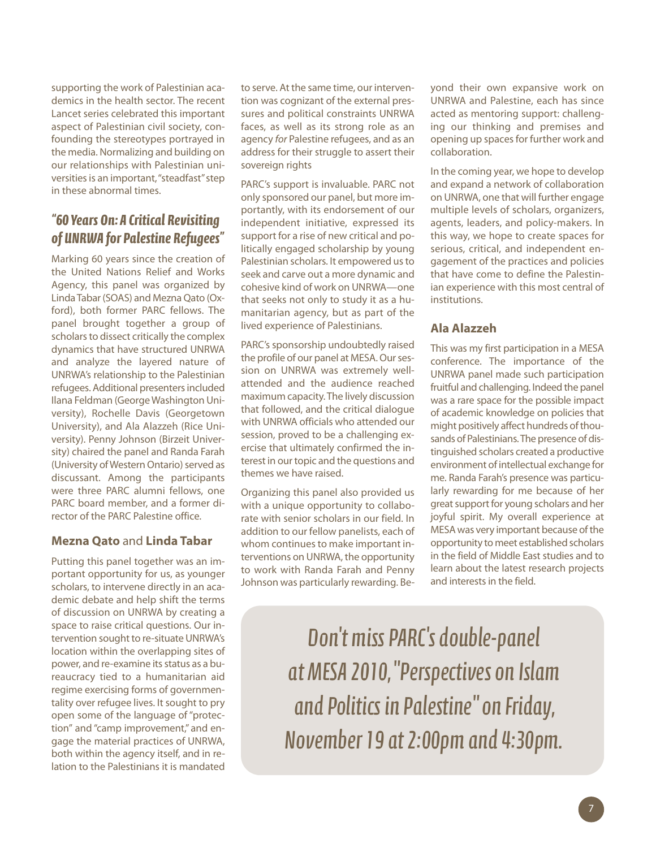supporting the work of Palestinian academics in the health sector. The recent Lancet series celebrated this important aspect of Palestinian civil society, confounding the stereotypes portrayed in the media. Normalizing and building on our relationships with Palestinian universities is an important, "steadfast" step in these abnormal times.

### *"60 Years On:A Critical Revisiting of UNRWA for Palestine Refugees"*

Marking 60 years since the creation of the United Nations Relief and Works Agency, this panel was organized by LindaTabar(SOAS) and MeznaQato (Oxford), both former PARC fellows. The panel brought together a group of scholars to dissect critically the complex dynamics that have structured UNRWA and analyze the layered nature of UNRWA's relationship to the Palestinian refugees. Additional presentersincluded Ilana Feldman (GeorgeWashington University), Rochelle Davis (Georgetown University), and Ala Alazzeh (Rice University). Penny Johnson (Birzeit University) chaired the panel and Randa Farah (University of Western Ontario) served as discussant. Among the participants were three PARC alumni fellows, one PARC board member, and a former director of the PARC Palestine office.

### **Mezna Qato** and **Linda Tabar**

Putting this panel together was an important opportunity for us, as younger scholars, to intervene directly in an academic debate and help shift the terms of discussion on UNRWA by creating a space to raise critical questions. Our intervention sought to re-situate UNRWA's location within the overlapping sites of power, and re-examine its status as a bureaucracy tied to a humanitarian aid regime exercising forms of governmentality over refugee lives. It sought to pry open some of the language of"protection" and "camp improvement," and engage the material practices of UNRWA, both within the agency itself, and in relation to the Palestinians it is mandated

to serve. At the same time, our intervention was cognizant of the external pressures and political constraints UNRWA faces, as well as its strong role as an agency *for* Palestine refugees, and as an address for their struggle to assert their sovereign rights

PARC's support is invaluable. PARC not only sponsored our panel, but more importantly, with its endorsement of our independent initiative, expressed its support for a rise of new critical and politically engaged scholarship by young Palestinian scholars. It empowered us to seek and carve out a more dynamic and cohesive kind of work on UNRWA—one that seeks not only to study it as a humanitarian agency, but as part of the lived experience of Palestinians.

PARC's sponsorship undoubtedly raised the profile of our panel at MESA. Our session on UNRWA was extremely wellattended and the audience reached maximum capacity.The lively discussion that followed, and the critical dialogue with UNRWA officials who attended our session, proved to be a challenging exercise that ultimately confirmed the interest in our topic and the questions and themes we have raised.

Organizing this panel also provided us with a unique opportunity to collaborate with senior scholars in our field. In addition to our fellow panelists, each of whom continues to make important interventions on UNRWA, the opportunity to work with Randa Farah and Penny Johnson was particularly rewarding. Beyond their own expansive work on UNRWA and Palestine, each has since acted as mentoring support: challenging our thinking and premises and opening up spaces for further work and collaboration.

In the coming year, we hope to develop and expand a network of collaboration on UNRWA, one that will further engage multiple levels of scholars, organizers, agents, leaders, and policy-makers. In this way, we hope to create spaces for serious, critical, and independent engagement of the practices and policies that have come to define the Palestinian experience with this most central of institutions.

### **Ala Alazzeh**

This was my first participation in a MESA conference. The importance of the UNRWA panel made such participation fruitful and challenging. Indeed the panel was a rare space for the possible impact of academic knowledge on policies that might positively affect hundreds of thousands of Palestinians.The presence of distinguished scholars created a productive environment of intellectual exchange for me. Randa Farah's presence was particularly rewarding for me because of her great support for young scholars and her joyful spirit. My overall experience at MESA was very important because of the opportunity to meet established scholars in the field of Middle East studies and to learn about the latest research projects and interests in the field.

*Don 't missPARC' sdouble-panel at MESA2010, "PerspectivesonIslam andPolitics inPalestine " onFriday, November19at2:00pm and4:30pm.*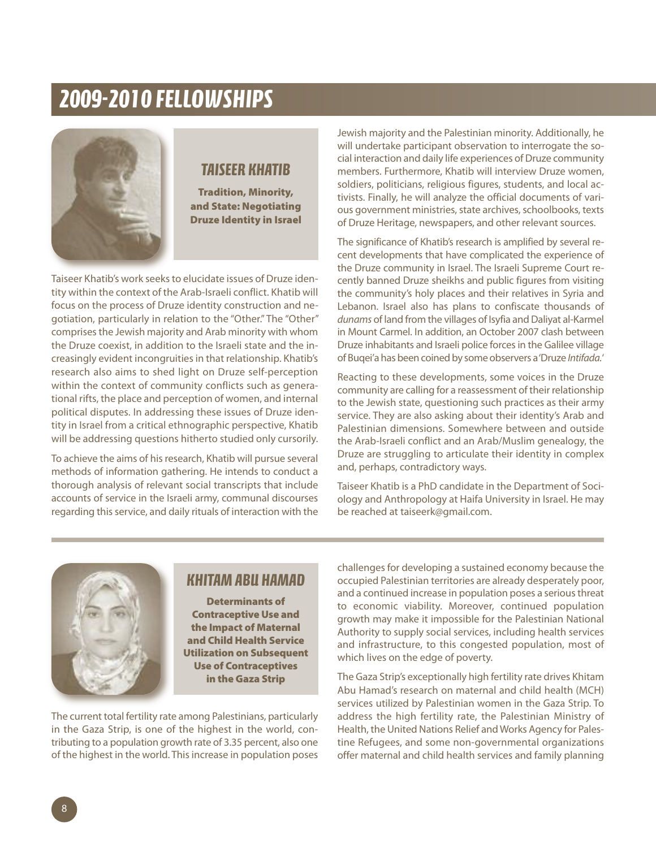# *2009-2010 FELLOWSHIPS*



### *TAISEER KHATIB*

**Tradition, Minority, and State: Negotiating Druze Identity in Israel**

Taiseer Khatib's work seeks to elucidate issues of Druze identity within the context of the Arab-Israeli conflict. Khatib will focus on the process of Druze identity construction and negotiation, particularly in relation to the "Other." The "Other" comprisesthe Jewish majority and Arab minority with whom the Druze coexist, in addition to the Israeli state and the increasingly evident incongruities in that relationship. Khatib's research also aims to shed light on Druze self-perception within the context of community conflicts such as generational rifts, the place and perception of women, and internal political disputes. In addressing these issues of Druze identity in Israel from a critical ethnographic perspective, Khatib will be addressing questions hitherto studied only cursorily.

To achieve the aims of his research, Khatib will pursue several methods of information gathering. He intends to conduct a thorough analysis of relevant social transcripts that include accounts of service in the Israeli army, communal discourses regarding this service, and daily rituals of interaction with the Jewish majority and the Palestinian minority. Additionally, he will undertake participant observation to interrogate the social interaction and daily life experiences of Druze community members. Furthermore, Khatib will interview Druze women, soldiers, politicians, religious figures, students, and local activists. Finally, he will analyze the official documents of various government ministries, state archives, schoolbooks, texts of Druze Heritage, newspapers, and other relevant sources.

The significance of Khatib's research is amplified by several recent developments that have complicated the experience of the Druze community in Israel. The Israeli Supreme Court recently banned Druze sheikhs and public figures from visiting the community's holy places and their relatives in Syria and Lebanon. Israel also has plans to confiscate thousands of dunams of land from the villages of Isyfia and Daliyat al-Karmel in Mount Carmel. In addition, an October 2007 clash between Druze inhabitants and Israeli police forces in the Galilee village of Buqei'a has been coined by some observers a'Druze *Intifada.*'

Reacting to these developments, some voices in the Druze community are calling for a reassessment of their relationship to the Jewish state, questioning such practices as their army service. They are also asking about their identity's Arab and Palestinian dimensions. Somewhere between and outside the Arab-Israeli conflict and an Arab/Muslim genealogy, the Druze are struggling to articulate their identity in complex and, perhaps, contradictory ways.

Taiseer Khatib is a PhD candidate in the Department of Sociology and Anthropology at Haifa University in Israel. He may be reached at taiseerk@gmail.com.



## *KHITAMABU HAMAD*

**Determinants of Contraceptive Use and the Impact of Maternal and Child Health Service Utilization on Subsequent Use of Contraceptives in the Gaza Strip**

The current total fertility rate among Palestinians, particularly in the Gaza Strip, is one of the highest in the world, contributing to a population growth rate of 3.35 percent, also one of the highest in the world. This increase in population poses challengesfor developing a sustained economy because the occupied Palestinian territories are already desperately poor, and a continued increase in population poses a serious threat to economic viability. Moreover, continued population growth may make it impossible for the Palestinian National Authority to supply social services, including health services and infrastructure, to this congested population, most of which lives on the edge of poverty.

The Gaza Strip's exceptionally high fertility rate drives Khitam Abu Hamad's research on maternal and child health (MCH) services utilized by Palestinian women in the Gaza Strip. To address the high fertility rate, the Palestinian Ministry of Health, the United Nations Relief and Works Agency for Palestine Refugees, and some non-governmental organizations offer maternal and child health services and family planning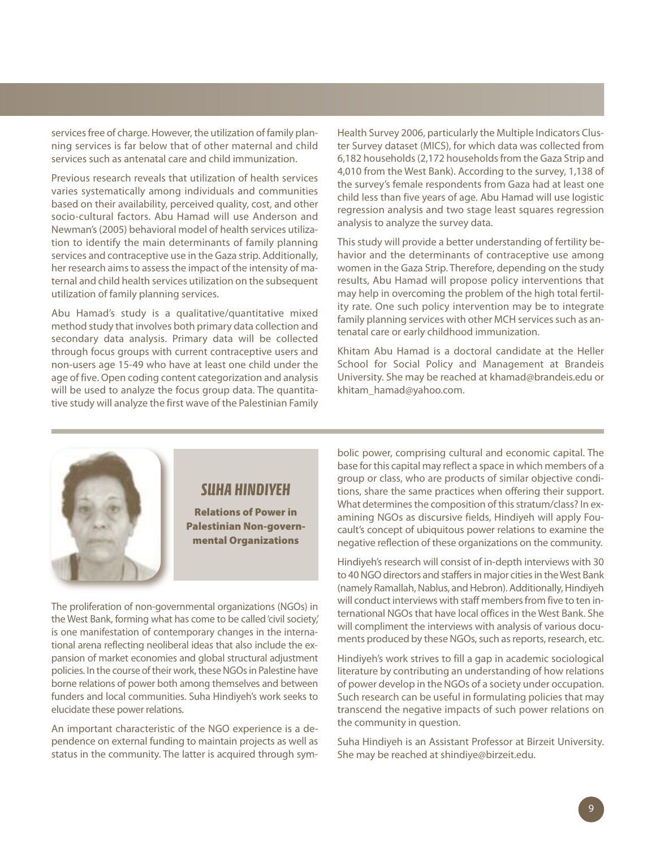services free of charge. However, the utilization of family planning services is far below that of other maternal and child services such as antenatal care and child immunization.

Previous research reveals that utilization of health services varies systematically among individuals and communities based on their availability, perceived quality, cost, and other socio-cultural factors. Abu Hamad will use Anderson and Newman's(2005) behavioral model of health services utilization to identify the main determinants of family planning services and contraceptive use in the Gaza strip. Additionally, her research aims to assess the impact of the intensity of maternal and child health services utilization on the subsequent utilization of family planning services.

Abu Hamad's study is a qualitative/quantitative mixed method study that involves both primary data collection and secondary data analysis. Primary data will be collected through focus groups with current contraceptive users and non-users age 15-49 who have at least one child under the age of five. Open coding content categorization and analysis will be used to analyze the focus group data. The quantitative study will analyze the first wave of the Palestinian Family

Health Survey 2006, particularly the Multiple Indicators Cluster Survey dataset (MICS), for which data was collected from 6,182 households (2,172 households from the Gaza Strip and 4,010 from the West Bank). According to the survey, 1,138 of the survey's female respondents from Gaza had at least one child less than five years of age. Abu Hamad will use logistic regression analysis and two stage least squares regression analysis to analyze the survey data.

This study will provide a better understanding of fertility behavior and the determinants of contraceptive use among women in the Gaza Strip. Therefore, depending on the study results, Abu Hamad will propose policy interventions that may help in overcoming the problem of the high total fertility rate. One such policy intervention may be to integrate family planning services with other MCH services such as antenatal care or early childhood immunization.

Khitam Abu Hamad is a doctoral candidate at the Heller School for Social Policy and Management at Brandeis University. She may be reached at khamad@brandeis.edu or khitam\_hamad@yahoo.com.

## *SUHA HINDIYEH*

**Relations of Power in Palestinian Non-governmental Organizations**

The proliferation of non-governmental organizations (NGOs) in the West Bank, forming what has come to be called'civil society,' is one manifestation of contemporary changes in the international arena reflecting neoliberal ideas that also include the expansion of market economies and global structural adjustment policies. In the course of their work, these NGOs in Palestine have borne relations of power both among themselves and between funders and local communities. Suha Hindiyeh's work seeks to elucidate these power relations.

An important characteristic of the NGO experience is a dependence on external funding to maintain projects as well as status in the community. The latter is acquired through symbolic power, comprising cultural and economic capital. The base for this capital may reflect a space in which members of a group or class, who are products of similar objective conditions, share the same practices when offering their support. What determines the composition of this stratum/class? In examining NGOs as discursive fields, Hindiyeh will apply Foucault's concept of ubiquitous power relations to examine the negative reflection of these organizations on the community.

Hindiyeh's research will consist of in-depth interviews with 30 to 40 NGO directors and staffers in major cities in the West Bank (namely Ramallah, Nablus, and Hebron). Additionally, Hindiyeh will conduct interviews with staff members from five to ten international NGOs that have local offices in the West Bank. She will compliment the interviews with analysis of various documents produced by these NGOs, such as reports, research, etc.

Hindiyeh's work strives to fill a gap in academic sociological literature by contributing an understanding of how relations of power develop in the NGOs of a society under occupation. Such research can be useful in formulating policies that may transcend the negative impacts of such power relations on the community in question.

Suha Hindiyeh is an Assistant Professor at Birzeit University. She may be reached at shindiye@birzeit.edu.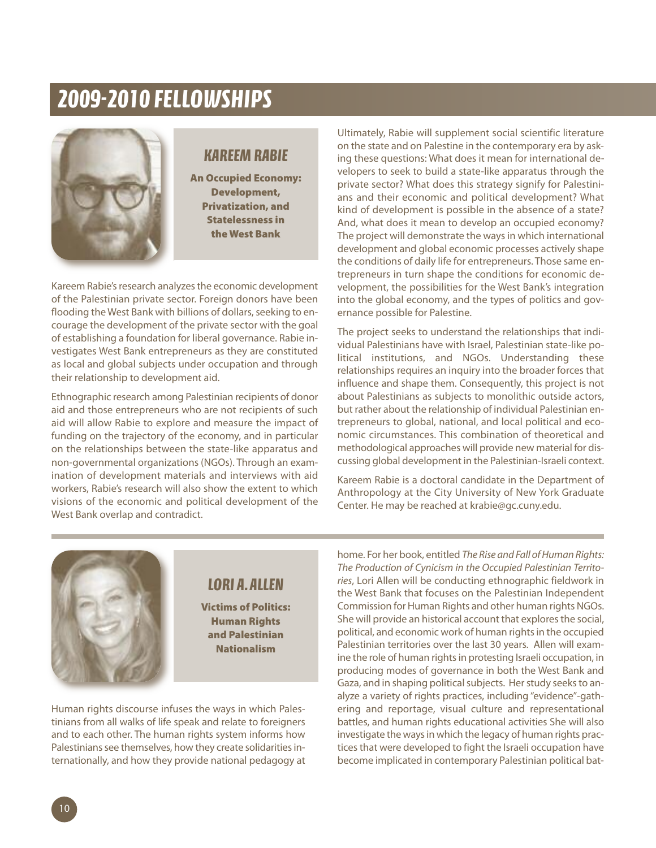# *2009-2010 FELLOWSHIPS*



## *KAREEMRABIE*

**An Occupied Economy: Development, Privatization, and Statelessness in the West Bank**

Kareem Rabie's research analyzes the economic development of the Palestinian private sector. Foreign donors have been flooding the West Bank with billions of dollars, seeking to encourage the development of the private sector with the goal of establishing a foundation for liberal governance. Rabie investigates West Bank entrepreneurs as they are constituted as local and global subjects under occupation and through their relationship to development aid.

Ethnographic research among Palestinian recipients of donor aid and those entrepreneurs who are not recipients of such aid will allow Rabie to explore and measure the impact of funding on the trajectory of the economy, and in particular on the relationships between the state-like apparatus and non-governmental organizations (NGOs). Through an examination of development materials and interviews with aid workers, Rabie's research will also show the extent to which visions of the economic and political development of the West Bank overlap and contradict.

Ultimately, Rabie will supplement social scientific literature on the state and on Palestine in the contemporary era by asking these questions: What does it mean for international developers to seek to build a state-like apparatus through the private sector? What does this strategy signify for Palestinians and their economic and political development? What kind of development is possible in the absence of a state? And, what does it mean to develop an occupied economy? The project will demonstrate the ways in which international development and global economic processes actively shape the conditions of daily life for entrepreneurs. Those same entrepreneurs in turn shape the conditions for economic development, the possibilities for the West Bank's integration into the global economy, and the types of politics and governance possible for Palestine.

The project seeks to understand the relationships that individual Palestinians have with Israel, Palestinian state-like political institutions, and NGOs. Understanding these relationships requires an inquiry into the broader forces that influence and shape them. Consequently, this project is not about Palestinians as subjects to monolithic outside actors, but rather about the relationship of individual Palestinian entrepreneurs to global, national, and local political and economic circumstances. This combination of theoretical and methodological approaches will provide new material for discussing global development in the Palestinian-Israeli context.

Kareem Rabie is a doctoral candidate in the Department of Anthropology at the City University of New York Graduate Center. He may be reached at krabie@gc.cuny.edu.



## *LORI A.ALLEN*

**Victims of Politics: Human Rights and Palestinian Nationalism**

Human rights discourse infuses the ways in which Palestinians from all walks of life speak and relate to foreigners and to each other. The human rights system informs how Palestinians see themselves, how they create solidarities internationally, and how they provide national pedagogy at home. For her book, entitled *The Rise and Fall ofHuman Rights: The Production of Cynicism in the Occupied Palestinian Territories*, Lori Allen will be conducting ethnographic fieldwork in the West Bank that focuses on the Palestinian Independent Commission for Human Rights and other human rights NGOs. She will provide an historical account that explores the social, political, and economic work of human rights in the occupied Palestinian territories over the last 30 years. Allen will examine the role of human rights in protesting Israeli occupation, in producing modes of governance in both the West Bank and Gaza, and in shaping political subjects. Her study seeks to analyze a variety of rights practices, including "evidence"-gathering and reportage, visual culture and representational battles, and human rights educational activities She will also investigate the ways in which the legacy of human rights practices that were developed to fight the Israeli occupation have become implicated in contemporary Palestinian political bat-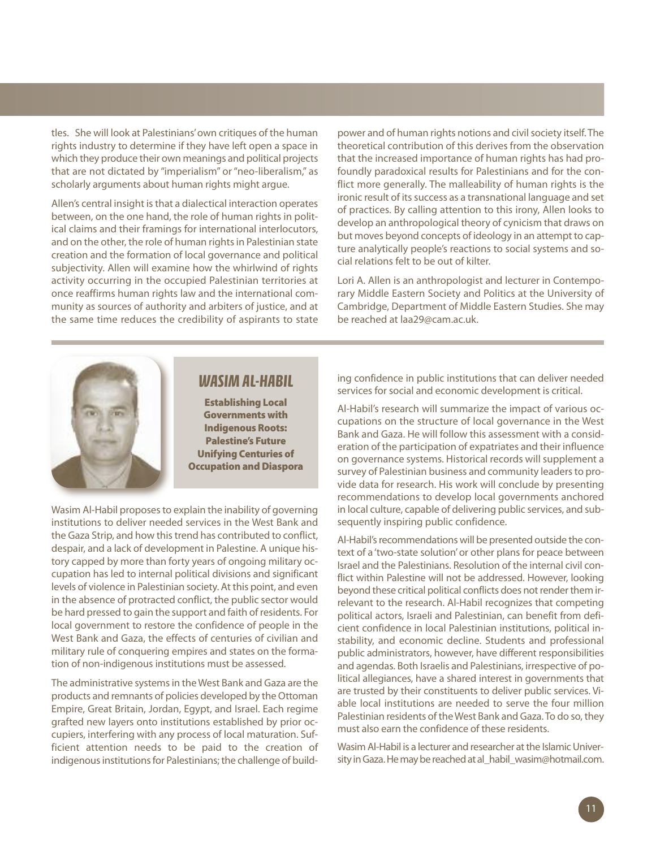tles. She will look at Palestinians'own critiques of the human rights industry to determine if they have left open a space in which they produce their own meanings and political projects that are not dictated by "imperialism" or "neo-liberalism," as scholarly arguments about human rights might argue.

Allen's central insight is that a dialectical interaction operates between, on the one hand, the role of human rights in political claims and their framings for international interlocutors, and on the other, the role of human rights in Palestinian state creation and the formation of local governance and political subjectivity. Allen will examine how the whirlwind of rights activity occurring in the occupied Palestinian territories at once reaffirms human rights law and the international community as sources of authority and arbiters of justice, and at the same time reduces the credibility of aspirants to state

power and of human rights notions and civil society itself. The theoretical contribution of this derives from the observation that the increased importance of human rights has had profoundly paradoxical results for Palestinians and for the conflict more generally. The malleability of human rights is the ironic result of its success as a transnational language and set of practices. By calling attention to this irony, Allen looks to develop an anthropological theory of cynicism that draws on but moves beyond concepts of ideology in an attempt to capture analytically people's reactions to social systems and social relations felt to be out of kilter.

Lori A. Allen is an anthropologist and lecturer in Contemporary Middle Eastern Society and Politics at the University of Cambridge, Department of Middle Eastern Studies. She may be reached at laa29@cam.ac.uk.



### *WASIMAL-HABIL*

**Establishing Local Governments with Indigenous Roots: Palestine's Future Unifying Centuries of Occupation and Diaspora**

Wasim Al-Habil proposes to explain the inability of governing institutions to deliver needed services in the West Bank and the Gaza Strip, and how this trend has contributed to conflict, despair, and a lack of development in Palestine. A unique history capped by more than forty years of ongoing military occupation has led to internal political divisions and significant levels of violence in Palestinian society. At this point, and even in the absence of protracted conflict, the public sector would be hard pressed to gain the support and faith of residents. For local government to restore the confidence of people in the West Bank and Gaza, the effects of centuries of civilian and military rule of conquering empires and states on the formation of non-indigenous institutions must be assessed.

The administrative systems in the West Bank and Gaza are the products and remnants of policies developed by the Ottoman Empire, Great Britain, Jordan, Egypt, and Israel. Each regime grafted new layers onto institutions established by prior occupiers, interfering with any process of local maturation. Sufficient attention needs to be paid to the creation of indigenous institutions for Palestinians; the challenge of building confidence in public institutions that can deliver needed services for social and economic development is critical.

Al-Habil's research will summarize the impact of various occupations on the structure of local governance in the West Bank and Gaza. He will follow this assessment with a consideration of the participation of expatriates and their influence on governance systems. Historical records will supplement a survey of Palestinian business and community leaders to provide data for research. His work will conclude by presenting recommendations to develop local governments anchored in local culture, capable of delivering public services, and subsequently inspiring public confidence.

Al-Habil's recommendations will be presented outside the context of a 'two-state solution'or other plans for peace between Israel and the Palestinians. Resolution of the internal civil conflict within Palestine will not be addressed. However, looking beyond these critical political conflicts does not render them irrelevant to the research. Al-Habil recognizes that competing political actors, Israeli and Palestinian, can benefit from deficient confidence in local Palestinian institutions, political instability, and economic decline. Students and professional public administrators, however, have different responsibilities and agendas. Both Israelis and Palestinians, irrespective of political allegiances, have a shared interest in governments that are trusted by their constituents to deliver public services. Viable local institutions are needed to serve the four million Palestinian residents of the West Bank and Gaza. To do so, they must also earn the confidence of these residents.

Wasim Al-Habil is a lecturer and researcher at the Islamic University in Gaza. He may be reached at al\_habil\_wasim@hotmail.com.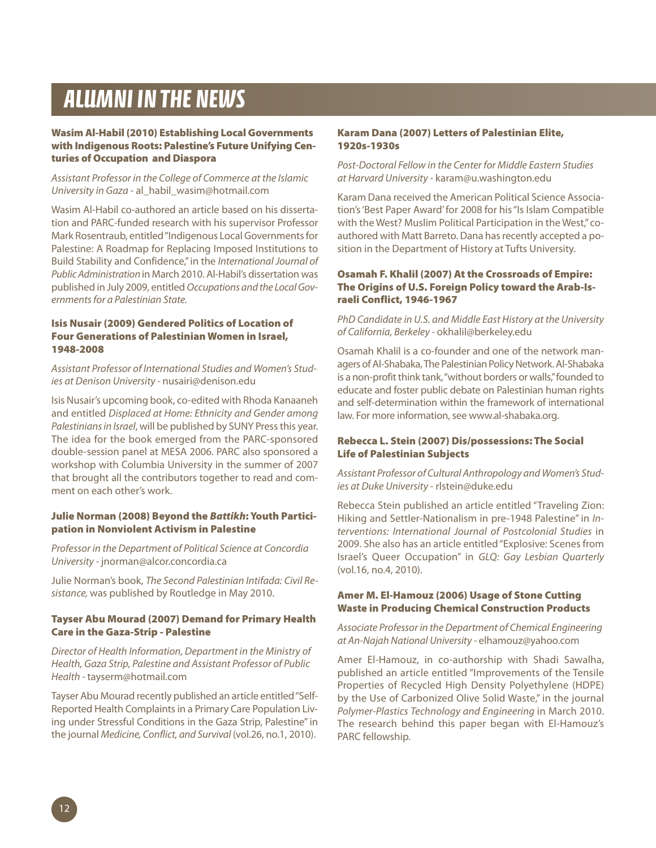# *ALUMNI IN THE NEWS*

#### **Wasim Al-Habil (2010) Establishing Local Governments with Indigenous Roots: Palestine's Future Unifying Centuries of Occupation and Diaspora**

*Assistant Professor in the College of Commerce at the Islamic University in Gaza* - al\_habil\_wasim@hotmail.com

Wasim Al-Habil co-authored an article based on his dissertation and PARC-funded research with his supervisor Professor Mark Rosentraub, entitled "Indigenous Local Governments for Palestine: A Roadmap for Replacing Imposed Institutions to Build Stability and Confidence,"in the *International Journal of PublicAdministration* in March 2010. Al-Habil's dissertation was published in July 2009, entitled*Occupations and the LocalGovernmentsfor a Palestinian State.*

#### **Isis Nusair (2009) Gendered Politics of Location of Four Generations of Palestinian Women in Israel, 1948-2008**

*Assistant Professor of International Studies and Women's Studies at Denison University -* nusairi@denison.edu

Isis Nusair's upcoming book, co-edited with Rhoda Kanaaneh and entitled *Displaced at Home: Ethnicity and Gender among Palestiniansin Israel*, will be published by SUNY Pressthis year. The idea for the book emerged from the PARC-sponsored double-session panel at MESA 2006. PARC also sponsored a workshop with Columbia University in the summer of 2007 that brought all the contributors together to read and comment on each other's work.

#### **Julie Norman (2008) Beyond the** *Battikh***: Youth Participation in Nonviolent Activism in Palestine**

*Professor in the Department of Political Science at Concordia University -* jnorman@alcor.concordia.ca

Julie Norman's book, *The Second Palestinian Intifada: Civil Resistance,* was published by Routledge in May 2010.

#### **Tayser Abu Mourad (2007) Demand for Primary Health Care in the Gaza-Strip - Palestine**

*Director of Health Information, Department in the Ministry of Health, Gaza Strip, Palestine and Assistant Professor of Public Health -* tayserm@hotmail.com

Tayser Abu Mourad recently published an article entitled"Self-Reported Health Complaints in a Primary Care Population Living under Stressful Conditions in the Gaza Strip, Palestine"in the journal *Medicine, Conflict, and Survival* (vol.26, no.1, 2010).

#### **Karam Dana (2007) Letters of Palestinian Elite, 1920s-1930s**

*Post-Doctoral Fellow in the Center for Middle Eastern Studies at Harvard University -* karam@u.washington.edu

Karam Dana received the American Political Science Association's'Best Paper Award'for 2008 for his"Is Islam Compatible with the West? Muslim Political Participation in the West,"coauthored with Matt Barreto. Dana has recently accepted a position in the Department of History at Tufts University.

#### **Osamah F. Khalil (2007) At the Crossroads of Empire: The Origins of U.S. Foreign Policy toward the Arab-Israeli Conflict, 1946-1967**

*PhD Candidate in U.S. and Middle East History at the University of California, Berkeley -* okhalil@berkeley.edu

Osamah Khalil is a co-founder and one of the network managers of Al-Shabaka, The Palestinian Policy Network. Al-Shabaka is a non-profit think tank, "without borders or walls," founded to educate and foster public debate on Palestinian human rights and self-determination within the framework of international law. For more information, see www.al-shabaka.org.

#### **Rebecca L. Stein (2007) Dis/possessions: The Social Life of Palestinian Subjects**

*Assistant Professor of Cultural Anthropology and Women's Studies at Duke University* - rlstein@duke.edu

Rebecca Stein published an article entitled "Traveling Zion: Hiking and Settler-Nationalism in pre-1948 Palestine" in *Interventions: International Journal of Postcolonial Studies* in 2009. She also has an article entitled"Explosive: Scenes from Israel's Queer Occupation" in *GLQ: Gay Lesbian Quarterly* (vol.16, no.4, 2010).

#### **Amer M. El-Hamouz (2006) Usage of Stone Cutting Waste in Producing Chemical Construction Products**

*Associate Professor in the Department of Chemical Engineering at An-Najah National University -* elhamouz@yahoo.com

Amer El-Hamouz, in co-authorship with Shadi Sawalha, published an article entitled "Improvements of the Tensile Properties of Recycled High Density Polyethylene (HDPE) by the Use of Carbonized Olive Solid Waste," in the journal *Polymer-Plastics Technology and Engineering* in March 2010. The research behind this paper began with El-Hamouz's PARC fellowship.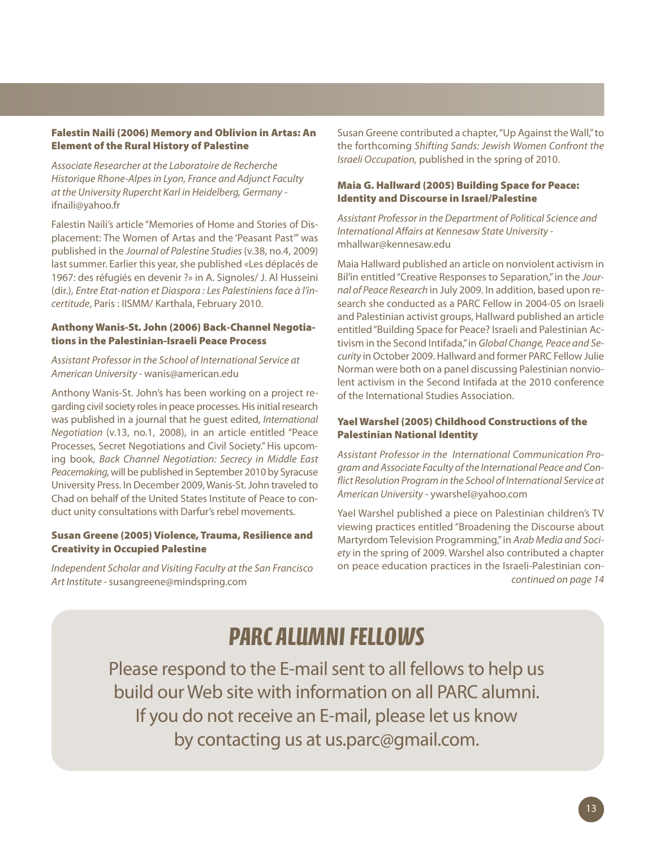#### **Falestin Naili (2006) Memory and Oblivion in Artas: An Element of the Rural History of Palestine**

*Associate Researcher at the Laboratoire de Recherche Historique Rhone-Alpesin Lyon, France and Adjunct Faculty at the University Rupercht Karl in Heidelberg, Germany*  ifnaili@yahoo.fr

Falestin Naili's article "Memories of Home and Stories of Displacement: The Women of Artas and the 'Peasant Past'" was published in the *Journal of Palestine Studies*(v.38, no.4, 2009) last summer. Earlier this year, she published «Les déplacés de 1967: des réfugiés en devenir ?» in A. Signoles/ J. Al Husseini (dir.), *Entre Etat-nation et Diaspora : Les Palestiniens face à l'incertitude*, Paris : IISMM/ Karthala, February 2010.

#### **Anthony Wanis-St. John (2006) Back-Channel Negotiations in the Palestinian-Israeli Peace Process**

### *Assistant Professor in the School of International Service at American University -* wanis@american.edu

Anthony Wanis-St. John's has been working on a project regarding civil society roles in peace processes. His initial research was published in a journal that he guest edited, *International Negotiation* (v.13, no.1, 2008), in an article entitled "Peace Processes, Secret Negotiations and Civil Society."His upcoming book, *Back Channel Negotiation: Secrecy in Middle East Peacemaking,*will be published in September 2010 by Syracuse University Press. In December 2009,Wanis-St.John traveled to Chad on behalf of the United States Institute of Peace to conduct unity consultations with Darfur's rebel movements.

### **Susan Greene (2005)Violence, Trauma, Resilience and Creativity in Occupied Palestine**

*Independent Scholar and Visiting Faculty at the San Francisco Art Institute -*susangreene@mindspring.com

Susan Greene contributed a chapter,"Up Against the Wall,"to the forthcoming *Shifting Sands: Jewish Women Confront the Israeli Occupation,* published in the spring of 2010.

#### **Maia G. Hallward (2005) Building Space for Peace: Identity and Discourse in Israel/Palestine**

*Assistant Professor in the Department of Political Science and International Affairs at Kennesaw State University*  mhallwar@kennesaw.edu

Maia Hallward published an article on nonviolent activism in Bil'in entitled"Creative Responses to Separation,"in the *Journal of Peace Research* in July 2009. In addition, based upon research she conducted as a PARC Fellow in 2004-05 on Israeli and Palestinian activist groups, Hallward published an article entitled"Building Space for Peace? Israeli and Palestinian Activism in the Second Intifada,"in *Global Change, Peace and Security* in October 2009. Hallward and former PARC Fellow Julie Norman were both on a panel discussing Palestinian nonviolent activism in the Second Intifada at the 2010 conference of the International Studies Association.

#### **Yael Warshel (2005) Childhood Constructions of the Palestinian National Identity**

*Assistant Professor in the International Communication Program and Associate Faculty ofthe International Peace and Conflict Resolution Program in the School of International Service at American University* - ywarshel@yahoo.com

Yael Warshel published a piece on Palestinian children's TV viewing practices entitled "Broadening the Discourse about Martyrdom Television Programming,"in *Arab Media and Society* in the spring of 2009. Warshel also contributed a chapter on peace education practices in the Israeli-Palestinian con*continued on page 14*

# **PARC ALUMNI FELLOWS**

Please respond to the E-mail sent to all fellows to help us build our Web site with information on all PARC alumni. If you do not receive an E-mail, please let us know by contacting us at us.parc@gmail.com.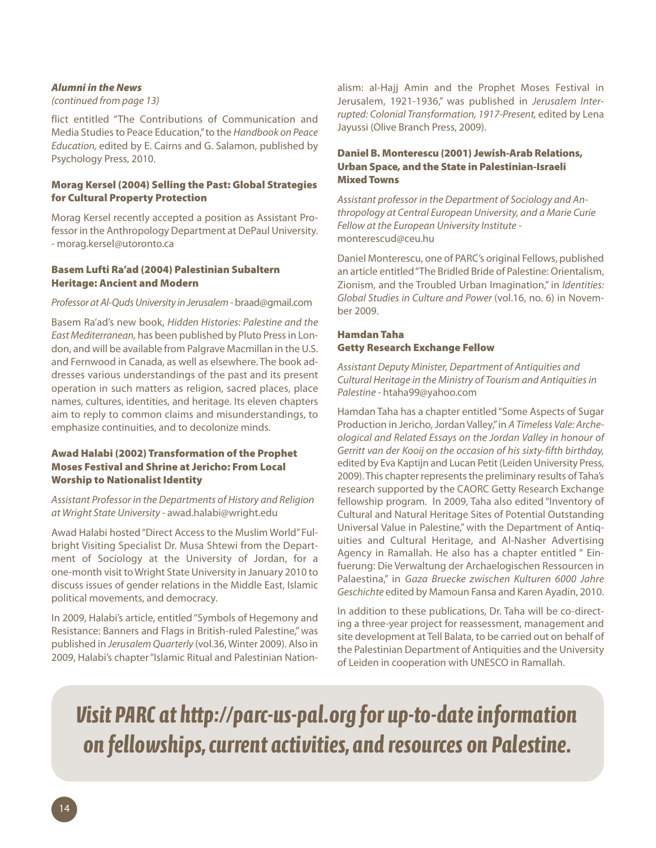#### *Alumni in the News*

#### *(continued from page 13)*

flict entitled "The Contributions of Communication and Media Studiesto Peace Education,"to the *Handbook on Peace Education,* edited by E. Cairns and G. Salamon, published by Psychology Press, 2010.

#### **Morag Kersel (2004) Selling the Past: Global Strategies for Cultural Property Protection**

Morag Kersel recently accepted a position as Assistant Professor in the Anthropology Department at DePaul University. - morag.kersel@utoronto.ca

#### **Basem Lufti Ra'ad (2004) Palestinian Subaltern Heritage: Ancient and Modern**

#### *Professor at Al-QudsUniversity in Jerusalem -*braad@gmail.com

Basem Ra'ad's new book, *Hidden Histories: Palestine and the EastMediterranean,* has been published by Pluto Pressin London, and will be available from Palgrave Macmillan in the U.S. and Fernwood in Canada, as well as elsewhere. The book addresses various understandings of the past and its present operation in such matters as religion, sacred places, place names, cultures, identities, and heritage. Its eleven chapters aim to reply to common claims and misunderstandings, to emphasize continuities, and to decolonize minds.

#### **Awad Halabi (2002) Transformation of the Prophet Moses Festival and Shrine at Jericho: From Local Worship to Nationalist Identity**

#### *Assistant Professor in the Departments of History and Religion at Wright State University -* awad.halabi@wright.edu

Awad Halabi hosted"Direct Access to the Muslim World"Fulbright Visiting Specialist Dr. Musa Shtewi from the Department of Sociology at the University of Jordan, for a one-month visit to Wright State University in January 2010 to discuss issues of gender relations in the Middle East, Islamic political movements, and democracy.

In 2009, Halabi's article, entitled"Symbols of Hegemony and Resistance: Banners and Flags in British-ruled Palestine,"was published in *Jerusalem Quarterly* (vol.36, Winter 2009). Also in 2009, Halabi's chapter"Islamic Ritual and Palestinian Nationalism: al-Hajj Amin and the Prophet Moses Festival in Jerusalem, 1921-1936," was published in *Jerusalem Interrupted: Colonial Transformation, 1917-Present,* edited by Lena Jayussi (Olive Branch Press, 2009).

#### **Daniel B. Monterescu (2001) Jewish-Arab Relations, Urban Space, and the State in Palestinian-Israeli MixedTowns**

*Assistant professor in the Department of Sociology and Anthropology at Central European University, and a Marie Curie Fellow at the European University Institute*  monterescud@ceu.hu

Daniel Monterescu, one of PARC's original Fellows, published an article entitled"The Bridled Bride of Palestine: Orientalism, Zionism, and the Troubled Urban Imagination," in *Identities: Global Studies in Culture and Power* (vol.16, no. 6) in November 2009.

#### **Hamdan Taha Getty Research Exchange Fellow**

*Assistant Deputy Minister, Department of Antiquities and Cultural Heritage in the Ministry of Tourism and Antiquitiesin Palestine -* htaha99@yahoo.com

Hamdan Taha has a chapter entitled"Some Aspects of Sugar Production in Jericho, Jordan Valley," in A Timeless Vale: Arche*ological and Related Essays on the Jordan Valley in honour of Gerritt van der Kooij on the occasion of his sixty-fifth birthday,* edited by Eva Kaptijn and Lucan Petit (Leiden University Press, 2009). This chapter represents the preliminary results of Taha's research supported by the CAORC Getty Research Exchange fellowship program. In 2009, Taha also edited "Inventory of Cultural and Natural Heritage Sites of Potential Outstanding Universal Value in Palestine," with the Department of Antiquities and Cultural Heritage, and Al-Nasher Advertising Agency in Ramallah. He also has a chapter entitled " Einfuerung: Die Verwaltung der Archaelogischen Ressourcen in Palaestina," in *Gaza Bruecke zwischen Kulturen 6000 Jahre Geschichte* edited by Mamoun Fansa and Karen Ayadin, 2010.

In addition to these publications, Dr. Taha will be co-directing a three-year project for reassessment, management and site development at Tell Balata, to be carried out on behalf of the Palestinian Department of Antiquities and the University of Leiden in cooperation with UNESCO in Ramallah.

*Visit PARC at http://parc-us-pal.org for up-to-dateinformation on fellowships,current activities,and resources on Palestine.*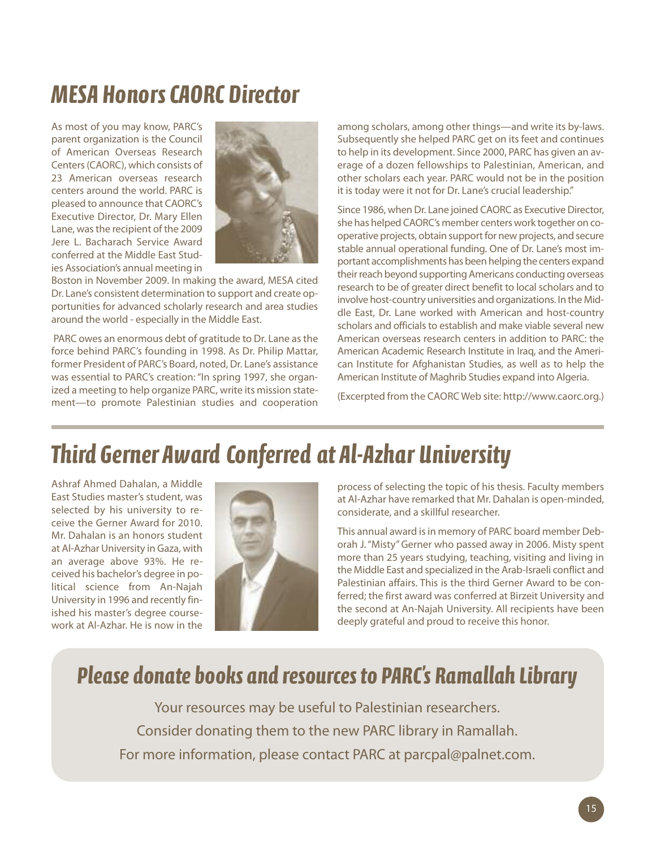# *MESA HonorsCAORC Director*

As most of you may know, PARC's parent organization is the Council of American Overseas Research Centers(CAORC), which consists of 23 American overseas research centers around the world. PARC is pleased to announce that CAORC's Executive Director, Dr. Mary Ellen Lane, wasthe recipient of the 2009 Jere L. Bacharach Service Award conferred at the Middle East Studies Association's annual meeting in



Boston in November 2009. In making the award, MESA cited Dr. Lane's consistent determination to support and create opportunities for advanced scholarly research and area studies around the world - especially in the Middle East.

PARC owes an enormous debt of gratitude to Dr. Lane as the force behind PARC's founding in 1998. As Dr. Philip Mattar, former President of PARC's Board, noted, Dr. Lane's assistance was essential to PARC's creation:"In spring 1997, she organized a meeting to help organize PARC, write its mission statement—to promote Palestinian studies and cooperation

among scholars, among other things—and write its by-laws. Subsequently she helped PARC get on its feet and continues to help in its development. Since 2000, PARC has given an average of a dozen fellowships to Palestinian, American, and other scholars each year. PARC would not be in the position it is today were it not for Dr. Lane's crucial leadership."

Since 1986, when Dr. Lane joined CAORC as Executive Director, she has helped CAORC's member centers work together on cooperative projects, obtain support for new projects, and secure stable annual operational funding. One of Dr. Lane's most important accomplishments has been helping the centers expand their reach beyond supporting Americans conducting overseas research to be of greater direct benefit to local scholars and to involve host-country universities and organizations. In the Middle East, Dr. Lane worked with American and host-country scholars and officials to establish and make viable several new American overseas research centers in addition to PARC: the American Academic Research Institute in Iraq, and the American Institute for Afghanistan Studies, as well as to help the American Institute of Maghrib Studies expand into Algeria.

(Excerpted from the CAORC Web site: http://www.caorc.org.)

# *Third Gerner Award Conferred at Al-Azhar University*

Ashraf Ahmed Dahalan, a Middle East Studies master's student, was selected by his university to receive the Gerner Award for 2010. Mr. Dahalan is an honors student at Al-Azhar University in Gaza, with an average above 93%. He received his bachelor's degree in political science from An-Najah University in 1996 and recently finished his master's degree coursework at Al-Azhar. He is now in the



process of selecting the topic of his thesis. Faculty members at Al-Azhar have remarked that Mr. Dahalan is open-minded, considerate, and a skillful researcher.

This annual award is in memory of PARC board member Deborah J."Misty"Gerner who passed away in 2006. Misty spent more than 25 years studying, teaching, visiting and living in the Middle East and specialized in the Arab-Israeli conflict and Palestinian affairs. This is the third Gerner Award to be conferred; the first award was conferred at Birzeit University and the second at An-Najah University. All recipients have been deeply grateful and proud to receive this honor.

# *Please donate books and resources to PARC' s Ramallah Library*

Your resources may be useful to Palestinian researchers. Consider donating them to the new PARC library in Ramallah. For more information, please contact PARC at parcpal@palnet.com.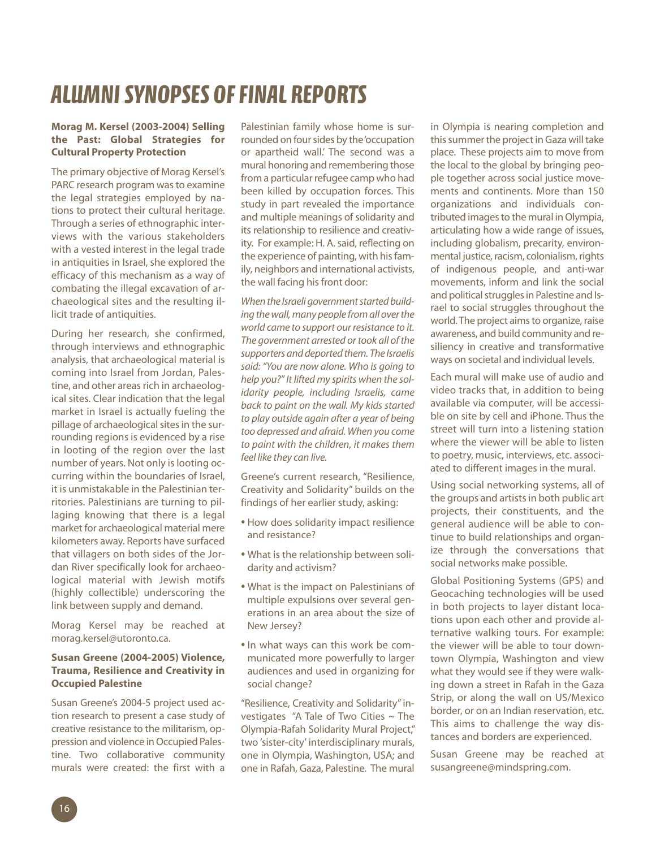# *ALUMNISYNOPSES OFFINAL REPORTS*

#### **Morag M. Kersel (2003-2004) Selling the Past: Global Strategies for Cultural Property Protection**

The primary objective of Morag Kersel's PARC research program was to examine the legal strategies employed by nations to protect their cultural heritage. Through a series of ethnographic interviews with the various stakeholders with a vested interest in the legal trade in antiquities in Israel, she explored the efficacy of this mechanism as a way of combating the illegal excavation of archaeological sites and the resulting illicit trade of antiquities.

During her research, she confirmed, through interviews and ethnographic analysis, that archaeological material is coming into Israel from Jordan, Palestine, and other areas rich in archaeological sites. Clear indication that the legal market in Israel is actually fueling the pillage of archaeological sites in the surrounding regions is evidenced by a rise in looting of the region over the last number of years. Not only is looting occurring within the boundaries of Israel, it is unmistakable in the Palestinian territories. Palestinians are turning to pillaging knowing that there is a legal market for archaeological material mere kilometers away. Reports have surfaced that villagers on both sides of the Jordan River specifically look for archaeological material with Jewish motifs (highly collectible) underscoring the link between supply and demand.

Morag Kersel may be reached at morag.kersel@utoronto.ca.

### **Susan Greene (2004-2005) Violence, Trauma, Resilience and Creativity in Occupied Palestine**

Susan Greene's 2004-5 project used action research to present a case study of creative resistance to the militarism, oppression and violence in Occupied Palestine. Two collaborative community murals were created: the first with a

Palestinian family whose home is surrounded on four sides by the 'occupation or apartheid wall.' The second was a mural honoring and remembering those from a particular refugee camp who had been killed by occupation forces. This study in part revealed the importance and multiple meanings of solidarity and its relationship to resilience and creativity. For example: H. A. said, reflecting on the experience of painting, with his family, neighbors and international activists, the wall facing his front door:

**When the Israeli government started build***ing thewall,many people fromall overthe world came to support our resistance to it. The government arrested ortook all of the supporters anddeportedthem. The Israelis said: "You are now alone. Who is going to help you?" It lifted my spirits when the solidarity people, including Israelis, came back to paint on the wall. My kids started to play outside again after a year of being too depressed and afraid. When you come to paint with the children, it makes them feel like they can live.*

Greene's current research, "Resilience, Creativity and Solidarity" builds on the findings of her earlier study, asking:

- How does solidarity impact resilience and resistance?
- What is the relationship between solidarity and activism?
- What is the impact on Palestinians of multiple expulsions over several generations in an area about the size of New Jersey?
- In what ways can this work be communicated more powerfully to larger audiences and used in organizing for social change?

"Resilience, Creativity and Solidarity"investigates "A Tale of Two Cities  $\sim$  The Olympia-Rafah Solidarity Mural Project," two 'sister-city' interdisciplinary murals, one in Olympia, Washington, USA; and one in Rafah, Gaza, Palestine. The mural

in Olympia is nearing completion and this summer the project in Gaza will take place. These projects aim to move from the local to the global by bringing people together across social justice movements and continents. More than 150 organizations and individuals contributed images to the mural in Olympia, articulating how a wide range of issues, including globalism, precarity, environmental justice, racism, colonialism, rights of indigenous people, and anti-war movements, inform and link the social and political struggles in Palestine and Israel to social struggles throughout the world. The project aims to organize, raise awareness, and build community and resiliency in creative and transformative ways on societal and individual levels.

Each mural will make use of audio and video tracks that, in addition to being available via computer, will be accessible on site by cell and iPhone. Thus the street will turn into a listening station where the viewer will be able to listen to poetry, music, interviews, etc. associated to different images in the mural.

Using social networking systems, all of the groups and artists in both public art projects, their constituents, and the general audience will be able to continue to build relationships and organize through the conversations that social networks make possible.

Global Positioning Systems (GPS) and Geocaching technologies will be used in both projects to layer distant locations upon each other and provide alternative walking tours. For example: the viewer will be able to tour downtown Olympia, Washington and view what they would see if they were walking down a street in Rafah in the Gaza Strip, or along the wall on US/Mexico border, or on an Indian reservation, etc. This aims to challenge the way distances and borders are experienced.

Susan Greene may be reached at susangreene@mindspring.com.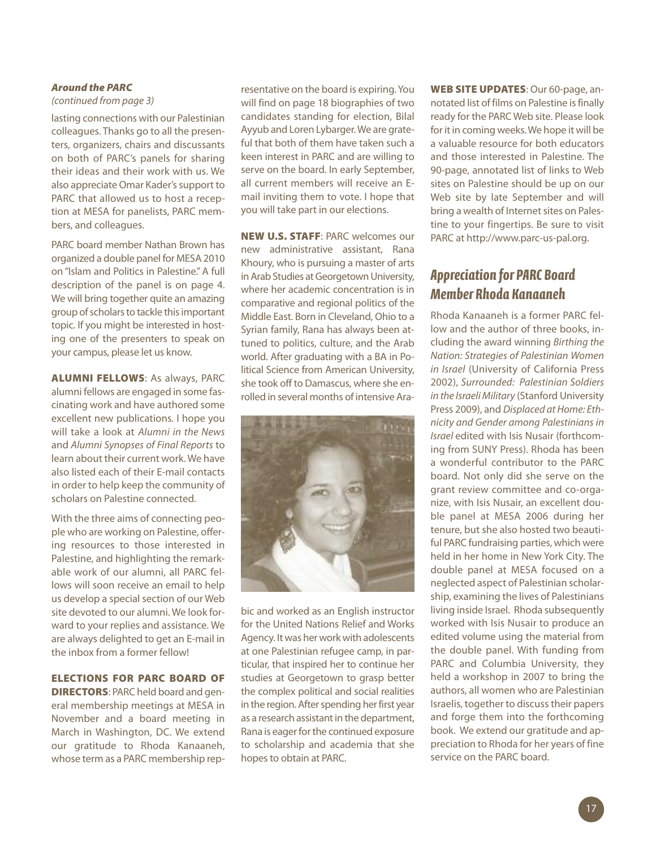#### *Around the PARC*

### *(continued from page 3)*

lasting connections with our Palestinian colleagues. Thanks go to all the presenters, organizers, chairs and discussants on both of PARC's panels for sharing their ideas and their work with us. We also appreciate Omar Kader's support to PARC that allowed us to host a reception at MESA for panelists, PARC members, and colleagues.

PARC board member Nathan Brown has organized a double panel for MESA 2010 on "Islam and Politics in Palestine."A full description of the panel is on page 4. We will bring together quite an amazing group of scholars to tackle this important topic. If you might be interested in hosting one of the presenters to speak on your campus, please let us know.

**ALUMNI FELLOWS**: As always, PARC alumni fellows are engaged in some fascinating work and have authored some excellent new publications. I hope you will take a look at *Alumni in the News* and *Alumni Synopses of Final Reports* to learn about their current work. We have also listed each of their E-mail contacts in order to help keep the community of scholars on Palestine connected.

With the three aims of connecting people who are working on Palestine, offering resources to those interested in Palestine, and highlighting the remarkable work of our alumni, all PARC fellows will soon receive an email to help us develop a special section of our Web site devoted to our alumni. We look forward to your replies and assistance. We are always delighted to get an E-mail in the inbox from a former fellow!

#### **ELECTIONS FOR PARC BOARD OF**

**DIRECTORS**: PARC held board and general membership meetings at MESA in November and a board meeting in March in Washington, DC. We extend our gratitude to Rhoda Kanaaneh, whose term as a PARC membership representative on the board is expiring.You will find on page 18 biographies of two candidates standing for election, Bilal Ayyub and Loren Lybarger.We are grateful that both of them have taken such a keen interest in PARC and are willing to serve on the board. In early September, all current members will receive an Email inviting them to vote. I hope that you will take part in our elections.

**NEW U.S. STAFF**: PARC welcomes our new administrative assistant, Rana Khoury, who is pursuing a master of arts in Arab Studies at Georgetown University, where her academic concentration is in comparative and regional politics of the Middle East. Born in Cleveland, Ohio to a Syrian family, Rana has always been attuned to politics, culture, and the Arab world. After graduating with a BA in Political Science from American University, she took off to Damascus, where she enrolled in several months of intensive Ara-



bic and worked as an English instructor for the United Nations Relief and Works Agency. It was her work with adolescents at one Palestinian refugee camp, in particular, that inspired her to continue her studies at Georgetown to grasp better the complex political and social realities in the region. After spending her first year as a research assistant in the department, Rana is eager for the continued exposure to scholarship and academia that she hopes to obtain at PARC.

**WEB SITE UPDATES**: Our 60-page, annotated list of films on Palestine is finally ready for the PARC Web site. Please look for it in coming weeks. We hope it will be a valuable resource for both educators and those interested in Palestine. The 90-page, annotated list of links to Web sites on Palestine should be up on our Web site by late September and will bring a wealth of Internet sites on Palestine to your fingertips. Be sure to visit PARC at http://www.parc-us-pal.org.

## *Appreciation for PARC Board Member Rhoda Kanaaneh*

Rhoda Kanaaneh is a former PARC fellow and the author of three books, including the award winning *Birthing the Nation: Strategies of Palestinian Women in Israel* (University of California Press 2002), *Surrounded: Palestinian Soldiers in the IsraeliMilitary* (Stanford University Press 2009), and *Displaced at Home: Ethnicity and Gender among Palestinians in Israel* edited with Isis Nusair (forthcoming from SUNY Press). Rhoda has been a wonderful contributor to the PARC board. Not only did she serve on the grant review committee and co-organize, with Isis Nusair, an excellent double panel at MESA 2006 during her tenure, but she also hosted two beautiful PARC fundraising parties, which were held in her home in New York City. The double panel at MESA focused on a neglected aspect of Palestinian scholarship, examining the lives of Palestinians living inside Israel. Rhoda subsequently worked with Isis Nusair to produce an edited volume using the material from the double panel. With funding from PARC and Columbia University, they held a workshop in 2007 to bring the authors, all women who are Palestinian Israelis, together to discusstheir papers and forge them into the forthcoming book. We extend our gratitude and appreciation to Rhoda for her years of fine service on the PARC board.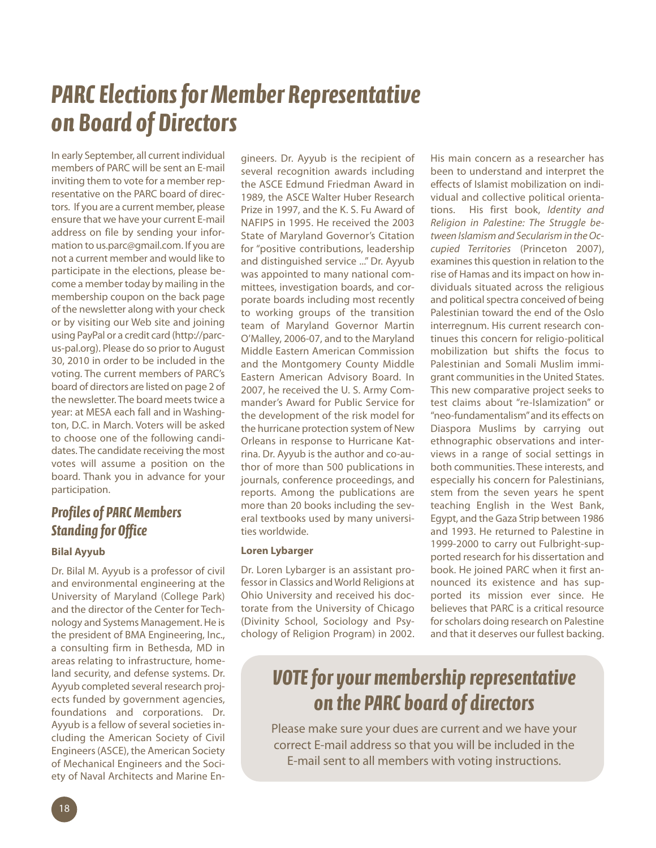# **PARC Elections for Member Representative** *on Board of Directors*

In early September, all current individual members of PARC will be sent an E-mail inviting them to vote for a member representative on the PARC board of directors. If you are a current member, please ensure that we have your current E-mail address on file by sending your information to us.parc@gmail.com. If you are not a current member and would like to participate in the elections, please become a member today by mailing in the membership coupon on the back page of the newsletter along with your check or by visiting our Web site and joining using PayPal or a credit card (http://parcus-pal.org). Please do so prior to August 30, 2010 in order to be included in the voting. The current members of PARC's board of directors are listed on page 2 of the newsletter. The board meets twice a year: at MESA each fall and in Washington, D.C. in March. Voters will be asked to choose one of the following candidates. The candidate receiving the most votes will assume a position on the board. Thank you in advance for your participation.

## *Profiles of PARCMembers Standing for Office*

### **Bilal Ayyub**

Dr. Bilal M. Ayyub is a professor of civil and environmental engineering at the University of Maryland (College Park) and the director of the Center for Technology and Systems Management. He is the president of BMA Engineering, Inc., a consulting firm in Bethesda, MD in areas relating to infrastructure, homeland security, and defense systems. Dr. Ayyub completed several research projects funded by government agencies, foundations and corporations. Dr. Ayyub is a fellow of several societies including the American Society of Civil Engineers(ASCE), the American Society of Mechanical Engineers and the Society of Naval Architects and Marine En-

gineers. Dr. Ayyub is the recipient of several recognition awards including the ASCE Edmund Friedman Award in 1989, the ASCE Walter Huber Research Prize in 1997, and the K. S. Fu Award of NAFIPS in 1995. He received the 2003 State of Maryland Governor's Citation for "positive contributions, leadership and distinguished service ..." Dr. Ayyub was appointed to many national committees, investigation boards, and corporate boards including most recently to working groups of the transition team of Maryland Governor Martin O'Malley, 2006-07, and to the Maryland Middle Eastern American Commission and the Montgomery County Middle Eastern American Advisory Board. In 2007, he received the U. S. Army Commander's Award for Public Service for the development of the risk model for the hurricane protection system of New Orleans in response to Hurricane Katrina. Dr. Ayyub is the author and co-author of more than 500 publications in journals, conference proceedings, and reports. Among the publications are more than 20 books including the several textbooks used by many universities worldwide.

#### **Loren Lybarger**

Dr. Loren Lybarger is an assistant professor in Classics and World Religions at Ohio University and received his doctorate from the University of Chicago (Divinity School, Sociology and Psychology of Religion Program) in 2002. His main concern as a researcher has been to understand and interpret the effects of Islamist mobilization on individual and collective political orientations. His first book, *Identity and Religion in Palestine: The Struggle between Islamism and Secularism in theOccupied Territories* (Princeton 2007), examines this question in relation to the rise of Hamas and itsimpact on how individuals situated across the religious and political spectra conceived of being Palestinian toward the end of the Oslo interregnum. His current research continues this concern for religio-political mobilization but shifts the focus to Palestinian and Somali Muslim immigrant communities in the United States. This new comparative project seeks to test claims about "re-Islamization" or "neo-fundamentalism"and its effects on Diaspora Muslims by carrying out ethnographic observations and interviews in a range of social settings in both communities. These interests, and especially his concern for Palestinians, stem from the seven years he spent teaching English in the West Bank, Egypt, and the Gaza Strip between 1986 and 1993. He returned to Palestine in 1999-2000 to carry out Fulbright-supported research for his dissertation and book. He joined PARC when it first announced its existence and has supported its mission ever since. He believes that PARC is a critical resource for scholars doing research on Palestine and that it deserves our fullest backing.

## *VOTEfor yourmembership representative on the PARC board of directors*

Please make sure your dues are current and we have your correct E-mail address so that you will be included in the E-mail sent to all members with voting instructions.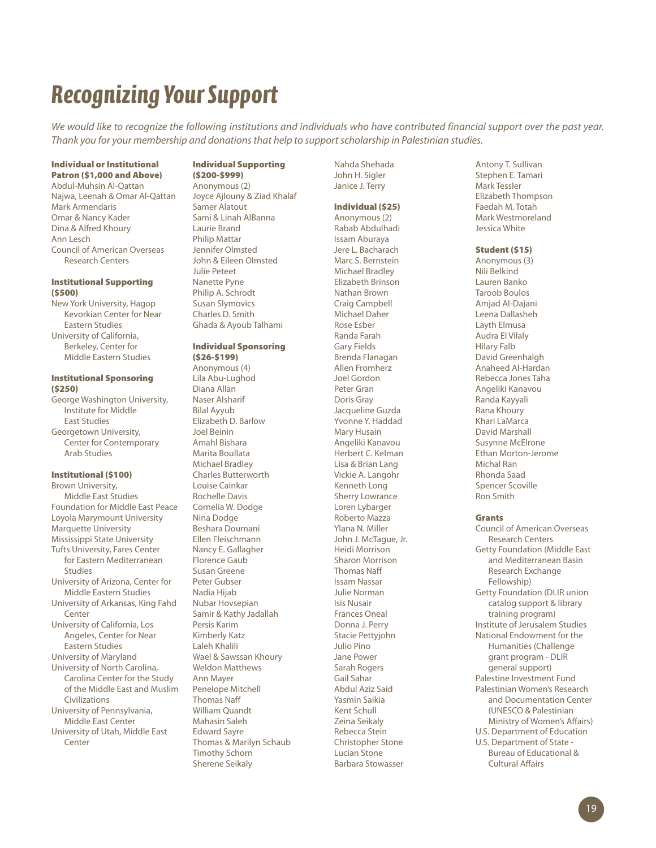# *Recognizing YourSupport*

We would like to recognize the following institutions and individuals who have contributed financial support over the past year. *Thank you for your membership and donationsthat help to supportscholarship in Palestinian studies.*

#### **Individual or Institutional Patron (\$1,000 and Above)**

Abdul-Muhsin Al-Qattan Najwa, Leenah & Omar Al-Qattan Mark Armendaris Omar & Nancy Kader Dina & Alfred Khoury Ann Lesch Council of American Overseas Research Centers

#### **Institutional Supporting (\$500)**

New York University, Hagop Kevorkian Center for Near Eastern Studies University of California, Berkeley, Center for Middle Eastern Studies

#### **Institutional Sponsoring (\$250)**

George Washington University, Institute for Middle East Studies Georgetown University, Center for Contemporary

## Arab Studies

**Institutional (\$100)** Brown University, Middle East Studies Foundation for Middle East Peace Loyola Marymount University Marquette University Mississippi State University Tufts University, Fares Center for Eastern Mediterranean Studies University of Arizona, Center for Middle Eastern Studies University of Arkansas, King Fahd Center University of California, Los Angeles, Center for Near Eastern Studies University of Maryland University of North Carolina, Carolina Center for the Study of the Middle East and Muslim Civilizations University of Pennsylvania, Middle East Center University of Utah, Middle East Center

### **Individual Supporting**

**(\$200-\$999)** Anonymous (2) Joyce Ajlouny & Ziad Khalaf Samer Alatout Sami & Linah AlBanna Laurie Brand Philip Mattar Jennifer Olmsted John & Eileen Olmsted Julie Peteet Nanette Pyne Philip A. Schrodt Susan Slymovics Charles D. Smith Ghada & Ayoub Talhami

#### **Individual Sponsoring (\$26-\$199)**

Anonymous (4) Lila Abu-Lughod Diana Allan Naser Alsharif Bilal Ayyub Elizabeth D. Barlow Joel Beinin Amahl Bishara Marita Boullata Michael Bradley Charles Butterworth Louise Cainkar Rochelle Davis Cornelia W. Dodge Nina Dodge Beshara Doumani Ellen Fleischmann Nancy E. Gallagher Florence Gaub Susan Greene Peter Gubser Nadia Hijab Nubar Hovsepian Samir & Kathy Jadallah Persis Karim Kimberly Katz Laleh Khalili Wael & Sawssan Khoury Weldon Matthews Ann Mayer Penelope Mitchell Thomas Naff William Quandt Mahasin Saleh Edward Sayre Thomas & Marilyn Schaub Timothy Schorn Sherene Seikaly

Nahda Shehada John H. Sigler Janice J. Terry

#### **Individual (\$25)** Anonymous (2)

Rabab Abdulhadi Issam Aburaya Jere L. Bacharach Marc S. Bernstein Michael Bradley Elizabeth Brinson Nathan Brown Craig Campbell Michael Daher Rose Esber Randa Farah Gary Fields Brenda Flanagan Allen Fromherz Joel Gordon Peter Gran Doris Gray Jacqueline Guzda Yvonne Y. Haddad Mary Husain Angeliki Kanavou Herbert C. Kelman Lisa & Brian Lang Vickie A. Langohr Kenneth Long Sherry Lowrance Loren Lybarger Roberto Mazza Ylana N. Miller John J. McTague, Jr. Heidi Morrison Sharon Morrison Thomas Naff Issam Nassar Julie Norman Isis Nusair Frances Oneal Donna J. Perry Stacie Pettyjohn Julio Pino Jane Power Sarah Rogers Gail Sahar Abdul Aziz Said Yasmin Saikia Kent Schull Zeina Seikaly Rebecca Stein Christopher Stone Lucian Stone Barbara Stowasser

#### Antony T. Sullivan Stephen E. Tamari Mark Tessler Elizabeth Thompson Faedah M. Totah Mark Westmoreland Jessica White

#### **Student (\$15)**

Anonymous (3) Nili Belkind Lauren Banko Taroob Boulos Amjad Al-Dajani Leena Dallasheh Layth Elmusa Audra El Vilaly Hilary Falb David Greenhalgh Anaheed Al-Hardan Rebecca Jones Taha Angeliki Kanavou Randa Kayyali Rana Khoury Khari LaMarca David Marshall Susynne McElrone Ethan Morton-Jerome Michal Ran Rhonda Saad Spencer Scoville Ron Smith

#### **Grants**

Council of American Overseas Research Centers Getty Foundation (Middle East and Mediterranean Basin Research Exchange Fellowship) Getty Foundation (DLIR union catalog support & library training program) Institute of Jerusalem Studies National Endowment for the Humanities (Challenge grant program - DLIR general support) Palestine Investment Fund Palestinian Women's Research and Documentation Center (UNESCO & Palestinian Ministry of Women's Affairs) U.S. Department of Education U.S. Department of State - Bureau of Educational & Cultural Affairs